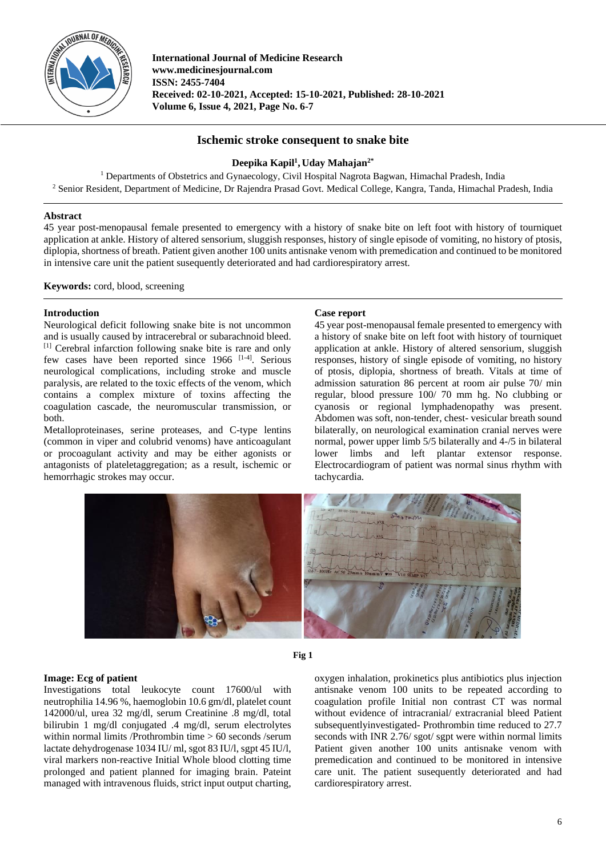

**International Journal of Medicine Research www.medicinesjournal.com ISSN: 2455-7404 Received: 02-10-2021, Accepted: 15-10-2021, Published: 28-10-2021 Volume 6, Issue 4, 2021, Page No. 6-7**

## **Ischemic stroke consequent to snake bite**

## **Deepika Kapil<sup>1</sup> , Uday Mahajan2\***

<sup>1</sup> Departments of Obstetrics and Gynaecology, Civil Hospital Nagrota Bagwan, Himachal Pradesh, India <sup>2</sup> Senior Resident, Department of Medicine, Dr Rajendra Prasad Govt. Medical College, Kangra, Tanda, Himachal Pradesh, India

## **Abstract**

45 year post-menopausal female presented to emergency with a history of snake bite on left foot with history of tourniquet application at ankle. History of altered sensorium, sluggish responses, history of single episode of vomiting, no history of ptosis, diplopia, shortness of breath. Patient given another 100 units antisnake venom with premedication and continued to be monitored in intensive care unit the patient susequently deteriorated and had cardiorespiratory arrest.

# **Keywords:** cord, blood, screening

### **Introduction**

Neurological deficit following snake bite is not uncommon and is usually caused by intracerebral or subarachnoid bleed. [1] Cerebral infarction following snake bite is rare and only few cases have been reported since 1966 <sup>[1-4]</sup>. Serious neurological complications, including stroke and muscle paralysis, are related to the toxic effects of the venom, which contains a complex mixture of toxins affecting the coagulation cascade, the neuromuscular transmission, or both.

Metalloproteinases, serine proteases, and C-type lentins (common in viper and colubrid venoms) have anticoagulant or procoagulant activity and may be either agonists or antagonists of plateletaggregation; as a result, ischemic or hemorrhagic strokes may occur.

#### **Case report**

45 year post-menopausal female presented to emergency with a history of snake bite on left foot with history of tourniquet application at ankle. History of altered sensorium, sluggish responses, history of single episode of vomiting, no history of ptosis, diplopia, shortness of breath. Vitals at time of admission saturation 86 percent at room air pulse 70/ min regular, blood pressure 100/ 70 mm hg. No clubbing or cyanosis or regional lymphadenopathy was present. Abdomen was soft, non-tender, chest- vesicular breath sound bilaterally, on neurological examination cranial nerves were normal, power upper limb 5/5 bilaterally and 4-/5 in bilateral lower limbs and left plantar extensor response. Electrocardiogram of patient was normal sinus rhythm with tachycardia.



**Fig 1**

## **Image: Ecg of patient**

Investigations total leukocyte count 17600/ul with neutrophilia 14.96 %, haemoglobin 10.6 gm/dl, platelet count 142000/ul, urea 32 mg/dl, serum Creatinine .8 mg/dl, total bilirubin 1 mg/dl conjugated .4 mg/dl, serum electrolytes within normal limits /Prothrombin time > 60 seconds /serum lactate dehydrogenase 1034 IU/ ml, sgot 83 IU/l, sgpt 45 IU/l, viral markers non-reactive Initial Whole blood clotting time prolonged and patient planned for imaging brain. Pateint managed with intravenous fluids, strict input output charting, oxygen inhalation, prokinetics plus antibiotics plus injection antisnake venom 100 units to be repeated according to coagulation profile Initial non contrast CT was normal without evidence of intracranial/ extracranial bleed Patient subsequently investigated- Prothrombin time reduced to 27.7 seconds with INR 2.76/ sgot/ sgpt were within normal limits Patient given another 100 units antisnake venom with premedication and continued to be monitored in intensive care unit. The patient susequently deteriorated and had cardiorespiratory arrest.